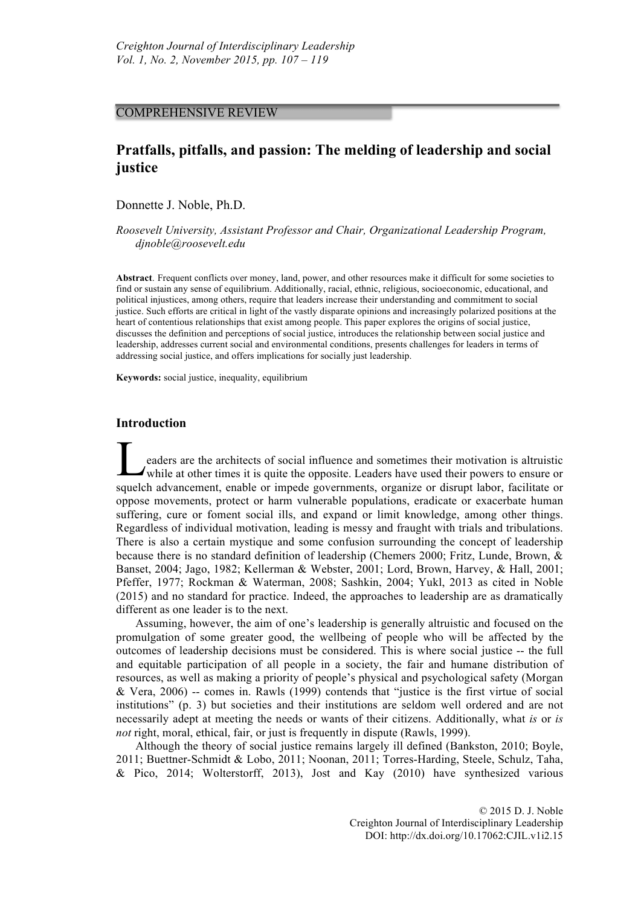# COMPREHENSIVE REVIEW

# **Pratfalls, pitfalls, and passion: The melding of leadership and social justice**

Donnette J. Noble, Ph.D.

*Roosevelt University, Assistant Professor and Chair, Organizational Leadership Program, djnoble@roosevelt.edu*

**Abstract**. Frequent conflicts over money, land, power, and other resources make it difficult for some societies to find or sustain any sense of equilibrium. Additionally, racial, ethnic, religious, socioeconomic, educational, and political injustices, among others, require that leaders increase their understanding and commitment to social justice. Such efforts are critical in light of the vastly disparate opinions and increasingly polarized positions at the heart of contentious relationships that exist among people. This paper explores the origins of social justice, discusses the definition and perceptions of social justice, introduces the relationship between social justice and leadership, addresses current social and environmental conditions, presents challenges for leaders in terms of addressing social justice, and offers implications for socially just leadership.

**Keywords:** social justice, inequality, equilibrium

# **Introduction**

eaders are the architects of social influence and sometimes their motivation is altruistic while at other times it is quite the opposite. Leaders have used their powers to ensure or squelch advancement, enable or impede governments, organize or disrupt labor, facilitate or oppose movements, protect or harm vulnerable populations, eradicate or exacerbate human suffering, cure or foment social ills, and expand or limit knowledge, among other things. Regardless of individual motivation, leading is messy and fraught with trials and tribulations. There is also a certain mystique and some confusion surrounding the concept of leadership because there is no standard definition of leadership (Chemers 2000; Fritz, Lunde, Brown, & Banset, 2004; Jago, 1982; Kellerman & Webster, 2001; Lord, Brown, Harvey, & Hall, 2001; Pfeffer, 1977; Rockman & Waterman, 2008; Sashkin, 2004; Yukl, 2013 as cited in Noble (2015) and no standard for practice. Indeed, the approaches to leadership are as dramatically different as one leader is to the next. L

Assuming, however, the aim of one's leadership is generally altruistic and focused on the promulgation of some greater good, the wellbeing of people who will be affected by the outcomes of leadership decisions must be considered. This is where social justice -- the full and equitable participation of all people in a society, the fair and humane distribution of resources, as well as making a priority of people's physical and psychological safety (Morgan & Vera, 2006) -- comes in. Rawls (1999) contends that "justice is the first virtue of social institutions" (p. 3) but societies and their institutions are seldom well ordered and are not necessarily adept at meeting the needs or wants of their citizens. Additionally, what *is* or *is not* right, moral, ethical, fair, or just is frequently in dispute (Rawls, 1999).

Although the theory of social justice remains largely ill defined (Bankston, 2010; Boyle, 2011; Buettner-Schmidt & Lobo, 2011; Noonan, 2011; Torres-Harding, Steele, Schulz, Taha, & Pico, 2014; Wolterstorff, 2013), Jost and Kay (2010) have synthesized various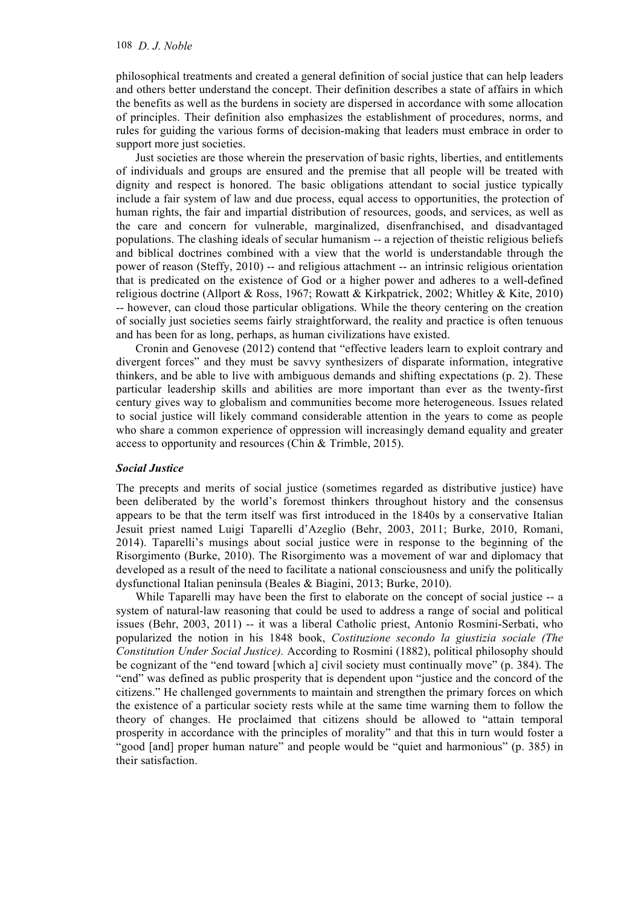philosophical treatments and created a general definition of social justice that can help leaders and others better understand the concept. Their definition describes a state of affairs in which the benefits as well as the burdens in society are dispersed in accordance with some allocation of principles. Their definition also emphasizes the establishment of procedures, norms, and rules for guiding the various forms of decision-making that leaders must embrace in order to support more just societies.

Just societies are those wherein the preservation of basic rights, liberties, and entitlements of individuals and groups are ensured and the premise that all people will be treated with dignity and respect is honored. The basic obligations attendant to social justice typically include a fair system of law and due process, equal access to opportunities, the protection of human rights, the fair and impartial distribution of resources, goods, and services, as well as the care and concern for vulnerable, marginalized, disenfranchised, and disadvantaged populations. The clashing ideals of secular humanism -- a rejection of theistic religious beliefs and biblical doctrines combined with a view that the world is understandable through the power of reason (Steffy, 2010) -- and religious attachment -- an intrinsic religious orientation that is predicated on the existence of God or a higher power and adheres to a well-defined religious doctrine (Allport & Ross, 1967; Rowatt & Kirkpatrick, 2002; Whitley & Kite, 2010) -- however, can cloud those particular obligations. While the theory centering on the creation of socially just societies seems fairly straightforward, the reality and practice is often tenuous and has been for as long, perhaps, as human civilizations have existed.

Cronin and Genovese (2012) contend that "effective leaders learn to exploit contrary and divergent forces" and they must be savvy synthesizers of disparate information, integrative thinkers, and be able to live with ambiguous demands and shifting expectations (p. 2). These particular leadership skills and abilities are more important than ever as the twenty-first century gives way to globalism and communities become more heterogeneous. Issues related to social justice will likely command considerable attention in the years to come as people who share a common experience of oppression will increasingly demand equality and greater access to opportunity and resources (Chin & Trimble, 2015).

# *Social Justice*

The precepts and merits of social justice (sometimes regarded as distributive justice) have been deliberated by the world's foremost thinkers throughout history and the consensus appears to be that the term itself was first introduced in the 1840s by a conservative Italian Jesuit priest named Luigi Taparelli d'Azeglio (Behr, 2003, 2011; Burke, 2010, Romani, 2014). Taparelli's musings about social justice were in response to the beginning of the Risorgimento (Burke, 2010). The Risorgimento was a movement of war and diplomacy that developed as a result of the need to facilitate a national consciousness and unify the politically dysfunctional Italian peninsula (Beales & Biagini, 2013; Burke, 2010).

While Taparelli may have been the first to elaborate on the concept of social justice -- a system of natural-law reasoning that could be used to address a range of social and political issues (Behr, 2003, 2011) -- it was a liberal Catholic priest, Antonio Rosmini-Serbati, who popularized the notion in his 1848 book, *Costituzione secondo la giustizia sociale (The Constitution Under Social Justice).* According to Rosmini (1882), political philosophy should be cognizant of the "end toward [which a] civil society must continually move" (p. 384). The "end" was defined as public prosperity that is dependent upon "justice and the concord of the citizens." He challenged governments to maintain and strengthen the primary forces on which the existence of a particular society rests while at the same time warning them to follow the theory of changes. He proclaimed that citizens should be allowed to "attain temporal prosperity in accordance with the principles of morality" and that this in turn would foster a "good [and] proper human nature" and people would be "quiet and harmonious" (p. 385) in their satisfaction.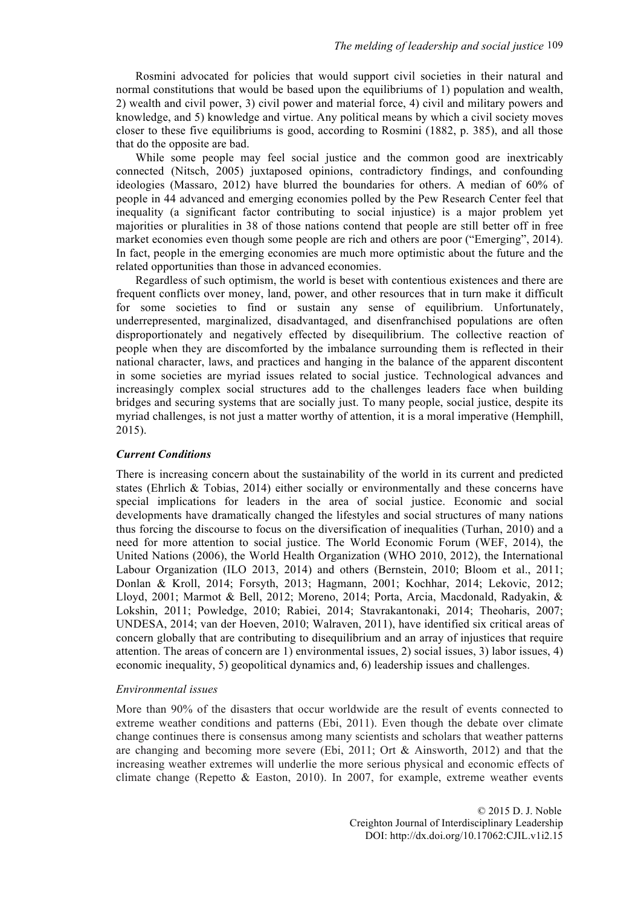Rosmini advocated for policies that would support civil societies in their natural and normal constitutions that would be based upon the equilibriums of 1) population and wealth, 2) wealth and civil power, 3) civil power and material force, 4) civil and military powers and knowledge, and 5) knowledge and virtue. Any political means by which a civil society moves closer to these five equilibriums is good, according to Rosmini (1882, p. 385), and all those that do the opposite are bad.

While some people may feel social justice and the common good are inextricably connected (Nitsch, 2005) juxtaposed opinions, contradictory findings, and confounding ideologies (Massaro, 2012) have blurred the boundaries for others. A median of 60% of people in 44 advanced and emerging economies polled by the Pew Research Center feel that inequality (a significant factor contributing to social injustice) is a major problem yet majorities or pluralities in 38 of those nations contend that people are still better off in free market economies even though some people are rich and others are poor ("Emerging", 2014). In fact, people in the emerging economies are much more optimistic about the future and the related opportunities than those in advanced economies.

Regardless of such optimism, the world is beset with contentious existences and there are frequent conflicts over money, land, power, and other resources that in turn make it difficult for some societies to find or sustain any sense of equilibrium. Unfortunately, underrepresented, marginalized, disadvantaged, and disenfranchised populations are often disproportionately and negatively effected by disequilibrium. The collective reaction of people when they are discomforted by the imbalance surrounding them is reflected in their national character, laws, and practices and hanging in the balance of the apparent discontent in some societies are myriad issues related to social justice. Technological advances and increasingly complex social structures add to the challenges leaders face when building bridges and securing systems that are socially just. To many people, social justice, despite its myriad challenges, is not just a matter worthy of attention, it is a moral imperative (Hemphill, 2015).

# *Current Conditions*

There is increasing concern about the sustainability of the world in its current and predicted states (Ehrlich & Tobias, 2014) either socially or environmentally and these concerns have special implications for leaders in the area of social justice. Economic and social developments have dramatically changed the lifestyles and social structures of many nations thus forcing the discourse to focus on the diversification of inequalities (Turhan, 2010) and a need for more attention to social justice. The World Economic Forum (WEF, 2014), the United Nations (2006), the World Health Organization (WHO 2010, 2012), the International Labour Organization (ILO 2013, 2014) and others (Bernstein, 2010; Bloom et al., 2011; Donlan & Kroll, 2014; Forsyth, 2013; Hagmann, 2001; Kochhar, 2014; Lekovic, 2012; Lloyd, 2001; Marmot & Bell, 2012; Moreno, 2014; Porta, Arcia, Macdonald, Radyakin, & Lokshin, 2011; Powledge, 2010; Rabiei, 2014; Stavrakantonaki, 2014; Theoharis, 2007; UNDESA, 2014; van der Hoeven, 2010; Walraven, 2011), have identified six critical areas of concern globally that are contributing to disequilibrium and an array of injustices that require attention. The areas of concern are 1) environmental issues, 2) social issues, 3) labor issues, 4) economic inequality, 5) geopolitical dynamics and, 6) leadership issues and challenges.

### *Environmental issues*

More than 90% of the disasters that occur worldwide are the result of events connected to extreme weather conditions and patterns (Ebi, 2011). Even though the debate over climate change continues there is consensus among many scientists and scholars that weather patterns are changing and becoming more severe (Ebi, 2011; Ort & Ainsworth, 2012) and that the increasing weather extremes will underlie the more serious physical and economic effects of climate change (Repetto  $\&$  Easton, 2010). In 2007, for example, extreme weather events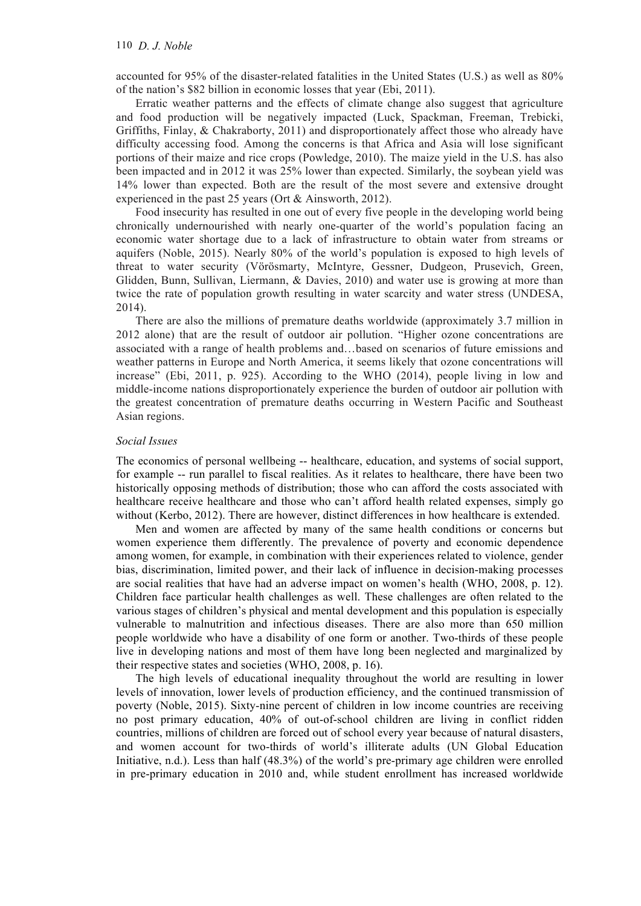accounted for 95% of the disaster-related fatalities in the United States (U.S.) as well as 80% of the nation's \$82 billion in economic losses that year (Ebi, 2011).

Erratic weather patterns and the effects of climate change also suggest that agriculture and food production will be negatively impacted (Luck, Spackman, Freeman, Trebicki, Griffiths, Finlay, & Chakraborty, 2011) and disproportionately affect those who already have difficulty accessing food. Among the concerns is that Africa and Asia will lose significant portions of their maize and rice crops (Powledge, 2010). The maize yield in the U.S. has also been impacted and in 2012 it was 25% lower than expected. Similarly, the soybean yield was 14% lower than expected. Both are the result of the most severe and extensive drought experienced in the past 25 years (Ort & Ainsworth, 2012).

Food insecurity has resulted in one out of every five people in the developing world being chronically undernourished with nearly one-quarter of the world's population facing an economic water shortage due to a lack of infrastructure to obtain water from streams or aquifers (Noble, 2015). Nearly 80% of the world's population is exposed to high levels of threat to water security (Vörösmarty, McIntyre, Gessner, Dudgeon, Prusevich, Green, Glidden, Bunn, Sullivan, Liermann, & Davies, 2010) and water use is growing at more than twice the rate of population growth resulting in water scarcity and water stress (UNDESA, 2014).

There are also the millions of premature deaths worldwide (approximately 3.7 million in 2012 alone) that are the result of outdoor air pollution. "Higher ozone concentrations are associated with a range of health problems and…based on scenarios of future emissions and weather patterns in Europe and North America, it seems likely that ozone concentrations will increase" (Ebi, 2011, p. 925). According to the WHO (2014), people living in low and middle-income nations disproportionately experience the burden of outdoor air pollution with the greatest concentration of premature deaths occurring in Western Pacific and Southeast Asian regions.

# *Social Issues*

The economics of personal wellbeing -- healthcare, education, and systems of social support, for example -- run parallel to fiscal realities. As it relates to healthcare, there have been two historically opposing methods of distribution; those who can afford the costs associated with healthcare receive healthcare and those who can't afford health related expenses, simply go without (Kerbo, 2012). There are however, distinct differences in how healthcare is extended.

Men and women are affected by many of the same health conditions or concerns but women experience them differently. The prevalence of poverty and economic dependence among women, for example, in combination with their experiences related to violence, gender bias, discrimination, limited power, and their lack of influence in decision-making processes are social realities that have had an adverse impact on women's health (WHO, 2008, p. 12). Children face particular health challenges as well. These challenges are often related to the various stages of children's physical and mental development and this population is especially vulnerable to malnutrition and infectious diseases. There are also more than 650 million people worldwide who have a disability of one form or another. Two-thirds of these people live in developing nations and most of them have long been neglected and marginalized by their respective states and societies (WHO, 2008, p. 16).

The high levels of educational inequality throughout the world are resulting in lower levels of innovation, lower levels of production efficiency, and the continued transmission of poverty (Noble, 2015). Sixty-nine percent of children in low income countries are receiving no post primary education, 40% of out-of-school children are living in conflict ridden countries, millions of children are forced out of school every year because of natural disasters, and women account for two-thirds of world's illiterate adults (UN Global Education Initiative, n.d.). Less than half (48.3%) of the world's pre-primary age children were enrolled in pre-primary education in 2010 and, while student enrollment has increased worldwide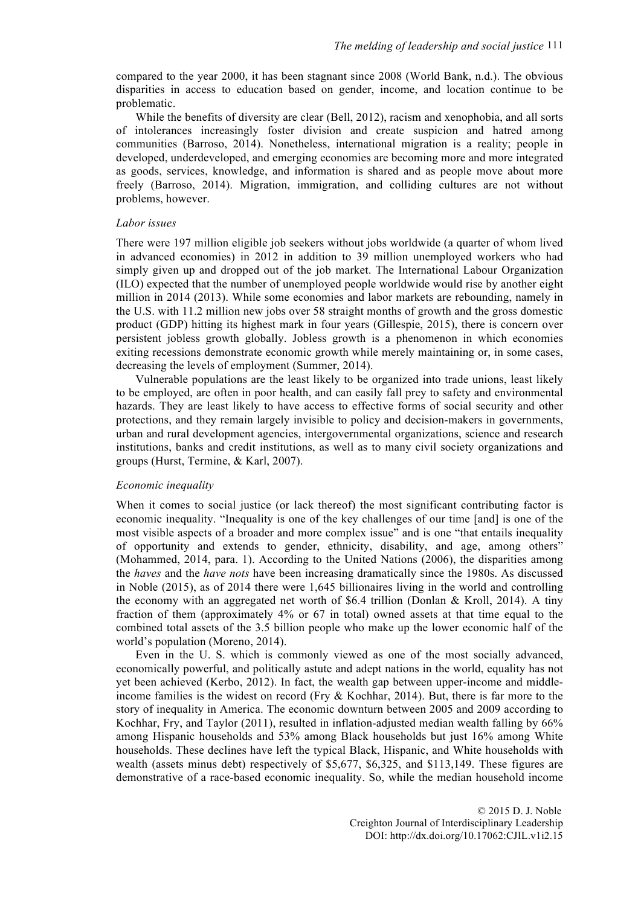compared to the year 2000, it has been stagnant since 2008 (World Bank, n.d.). The obvious disparities in access to education based on gender, income, and location continue to be problematic.

While the benefits of diversity are clear (Bell, 2012), racism and xenophobia, and all sorts of intolerances increasingly foster division and create suspicion and hatred among communities (Barroso, 2014). Nonetheless, international migration is a reality; people in developed, underdeveloped, and emerging economies are becoming more and more integrated as goods, services, knowledge, and information is shared and as people move about more freely (Barroso, 2014). Migration, immigration, and colliding cultures are not without problems, however.

### *Labor issues*

There were 197 million eligible job seekers without jobs worldwide (a quarter of whom lived in advanced economies) in 2012 in addition to 39 million unemployed workers who had simply given up and dropped out of the job market. The International Labour Organization (ILO) expected that the number of unemployed people worldwide would rise by another eight million in 2014 (2013). While some economies and labor markets are rebounding, namely in the U.S. with 11.2 million new jobs over 58 straight months of growth and the gross domestic product (GDP) hitting its highest mark in four years (Gillespie, 2015), there is concern over persistent jobless growth globally. Jobless growth is a phenomenon in which economies exiting recessions demonstrate economic growth while merely maintaining or, in some cases, decreasing the levels of employment (Summer, 2014).

Vulnerable populations are the least likely to be organized into trade unions, least likely to be employed, are often in poor health, and can easily fall prey to safety and environmental hazards. They are least likely to have access to effective forms of social security and other protections, and they remain largely invisible to policy and decision-makers in governments, urban and rural development agencies, intergovernmental organizations, science and research institutions, banks and credit institutions, as well as to many civil society organizations and groups (Hurst, Termine, & Karl, 2007).

#### *Economic inequality*

When it comes to social justice (or lack thereof) the most significant contributing factor is economic inequality. "Inequality is one of the key challenges of our time [and] is one of the most visible aspects of a broader and more complex issue" and is one "that entails inequality of opportunity and extends to gender, ethnicity, disability, and age, among others" (Mohammed, 2014, para. 1). According to the United Nations (2006), the disparities among the *haves* and the *have nots* have been increasing dramatically since the 1980s. As discussed in Noble (2015), as of 2014 there were 1,645 billionaires living in the world and controlling the economy with an aggregated net worth of \$6.4 trillion (Donlan & Kroll, 2014). A tiny fraction of them (approximately 4% or 67 in total) owned assets at that time equal to the combined total assets of the 3.5 billion people who make up the lower economic half of the world's population (Moreno, 2014).

Even in the U. S. which is commonly viewed as one of the most socially advanced, economically powerful, and politically astute and adept nations in the world, equality has not yet been achieved (Kerbo, 2012). In fact, the wealth gap between upper-income and middleincome families is the widest on record (Fry  $\&$  Kochhar, 2014). But, there is far more to the story of inequality in America. The economic downturn between 2005 and 2009 according to Kochhar, Fry, and Taylor (2011), resulted in inflation-adjusted median wealth falling by 66% among Hispanic households and 53% among Black households but just 16% among White households. These declines have left the typical Black, Hispanic, and White households with wealth (assets minus debt) respectively of \$5,677, \$6,325, and \$113,149. These figures are demonstrative of a race-based economic inequality. So, while the median household income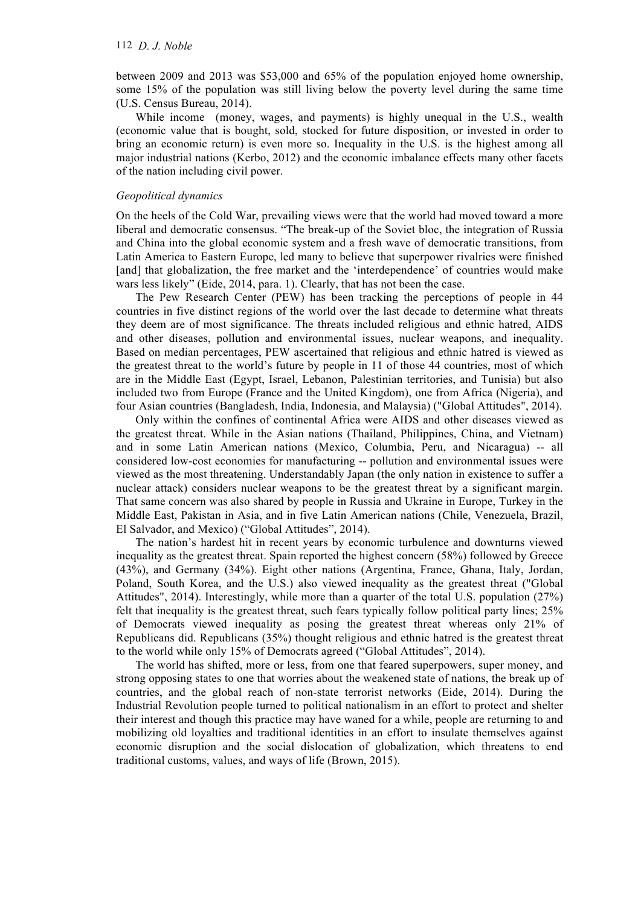### 112 *D. J. Noble*

between 2009 and 2013 was \$53,000 and 65% of the population enjoyed home ownership, some 15% of the population was still living below the poverty level during the same time (U.S. Census Bureau, 2014).

While income (money, wages, and payments) is highly unequal in the U.S., wealth (economic value that is bought, sold, stocked for future disposition, or invested in order to bring an economic return) is even more so. Inequality in the U.S. is the highest among all major industrial nations (Kerbo, 2012) and the economic imbalance effects many other facets of the nation including civil power.

# *Geopolitical dynamics*

On the heels of the Cold War, prevailing views were that the world had moved toward a more liberal and democratic consensus. "The break-up of the Soviet bloc, the integration of Russia and China into the global economic system and a fresh wave of democratic transitions, from Latin America to Eastern Europe, led many to believe that superpower rivalries were finished [and] that globalization, the free market and the 'interdependence' of countries would make wars less likely" (Eide, 2014, para. 1). Clearly, that has not been the case.

The Pew Research Center (PEW) has been tracking the perceptions of people in 44 countries in five distinct regions of the world over the last decade to determine what threats they deem are of most significance. The threats included religious and ethnic hatred, AIDS and other diseases, pollution and environmental issues, nuclear weapons, and inequality. Based on median percentages, PEW ascertained that religious and ethnic hatred is viewed as the greatest threat to the world's future by people in 11 of those 44 countries, most of which are in the Middle East (Egypt, Israel, Lebanon, Palestinian territories, and Tunisia) but also included two from Europe (France and the United Kingdom), one from Africa (Nigeria), and four Asian countries (Bangladesh, India, Indonesia, and Malaysia) ("Global Attitudes", 2014).

Only within the confines of continental Africa were AIDS and other diseases viewed as the greatest threat. While in the Asian nations (Thailand, Philippines, China, and Vietnam) and in some Latin American nations (Mexico, Columbia, Peru, and Nicaragua) -- all considered low-cost economies for manufacturing -- pollution and environmental issues were viewed as the most threatening. Understandably Japan (the only nation in existence to suffer a nuclear attack) considers nuclear weapons to be the greatest threat by a significant margin. That same concern was also shared by people in Russia and Ukraine in Europe, Turkey in the Middle East, Pakistan in Asia, and in five Latin American nations (Chile, Venezuela, Brazil, El Salvador, and Mexico) ("Global Attitudes", 2014).

The nation's hardest hit in recent years by economic turbulence and downturns viewed inequality as the greatest threat. Spain reported the highest concern (58%) followed by Greece (43%), and Germany (34%). Eight other nations (Argentina, France, Ghana, Italy, Jordan, Poland, South Korea, and the U.S.) also viewed inequality as the greatest threat ("Global Attitudes", 2014). Interestingly, while more than a quarter of the total U.S. population (27%) felt that inequality is the greatest threat, such fears typically follow political party lines; 25% of Democrats viewed inequality as posing the greatest threat whereas only 21% of Republicans did. Republicans (35%) thought religious and ethnic hatred is the greatest threat to the world while only 15% of Democrats agreed ("Global Attitudes", 2014).

The world has shifted, more or less, from one that feared superpowers, super money, and strong opposing states to one that worries about the weakened state of nations, the break up of countries, and the global reach of non-state terrorist networks (Eide, 2014). During the Industrial Revolution people turned to political nationalism in an effort to protect and shelter their interest and though this practice may have waned for a while, people are returning to and mobilizing old loyalties and traditional identities in an effort to insulate themselves against economic disruption and the social dislocation of globalization, which threatens to end traditional customs, values, and ways of life (Brown, 2015).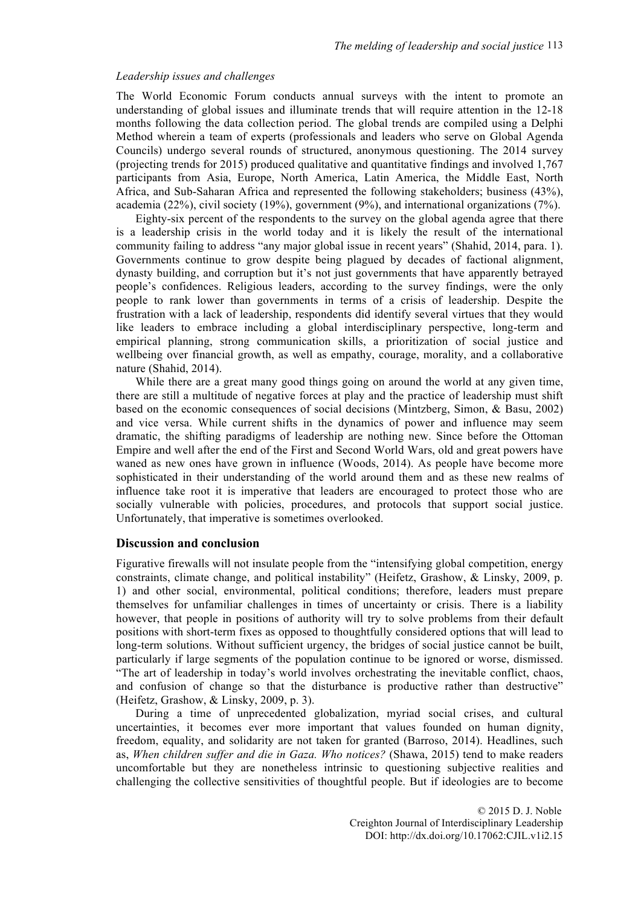# *Leadership issues and challenges*

The World Economic Forum conducts annual surveys with the intent to promote an understanding of global issues and illuminate trends that will require attention in the 12-18 months following the data collection period. The global trends are compiled using a Delphi Method wherein a team of experts (professionals and leaders who serve on Global Agenda Councils) undergo several rounds of structured, anonymous questioning. The 2014 survey (projecting trends for 2015) produced qualitative and quantitative findings and involved 1,767 participants from Asia, Europe, North America, Latin America, the Middle East, North Africa, and Sub-Saharan Africa and represented the following stakeholders; business (43%), academia (22%), civil society (19%), government (9%), and international organizations (7%).

Eighty-six percent of the respondents to the survey on the global agenda agree that there is a leadership crisis in the world today and it is likely the result of the international community failing to address "any major global issue in recent years" (Shahid, 2014, para. 1). Governments continue to grow despite being plagued by decades of factional alignment, dynasty building, and corruption but it's not just governments that have apparently betrayed people's confidences. Religious leaders, according to the survey findings, were the only people to rank lower than governments in terms of a crisis of leadership. Despite the frustration with a lack of leadership, respondents did identify several virtues that they would like leaders to embrace including a global interdisciplinary perspective, long-term and empirical planning, strong communication skills, a prioritization of social justice and wellbeing over financial growth, as well as empathy, courage, morality, and a collaborative nature (Shahid, 2014).

While there are a great many good things going on around the world at any given time, there are still a multitude of negative forces at play and the practice of leadership must shift based on the economic consequences of social decisions (Mintzberg, Simon, & Basu, 2002) and vice versa. While current shifts in the dynamics of power and influence may seem dramatic, the shifting paradigms of leadership are nothing new. Since before the Ottoman Empire and well after the end of the First and Second World Wars, old and great powers have waned as new ones have grown in influence (Woods, 2014). As people have become more sophisticated in their understanding of the world around them and as these new realms of influence take root it is imperative that leaders are encouraged to protect those who are socially vulnerable with policies, procedures, and protocols that support social justice. Unfortunately, that imperative is sometimes overlooked.

### **Discussion and conclusion**

Figurative firewalls will not insulate people from the "intensifying global competition, energy constraints, climate change, and political instability" (Heifetz, Grashow, & Linsky, 2009, p. 1) and other social, environmental, political conditions; therefore, leaders must prepare themselves for unfamiliar challenges in times of uncertainty or crisis. There is a liability however, that people in positions of authority will try to solve problems from their default positions with short-term fixes as opposed to thoughtfully considered options that will lead to long-term solutions. Without sufficient urgency, the bridges of social justice cannot be built, particularly if large segments of the population continue to be ignored or worse, dismissed. "The art of leadership in today's world involves orchestrating the inevitable conflict, chaos, and confusion of change so that the disturbance is productive rather than destructive" (Heifetz, Grashow, & Linsky, 2009, p. 3).

During a time of unprecedented globalization, myriad social crises, and cultural uncertainties, it becomes ever more important that values founded on human dignity, freedom, equality, and solidarity are not taken for granted (Barroso, 2014). Headlines, such as, *When children suffer and die in Gaza. Who notices?* (Shawa, 2015) tend to make readers uncomfortable but they are nonetheless intrinsic to questioning subjective realities and challenging the collective sensitivities of thoughtful people. But if ideologies are to become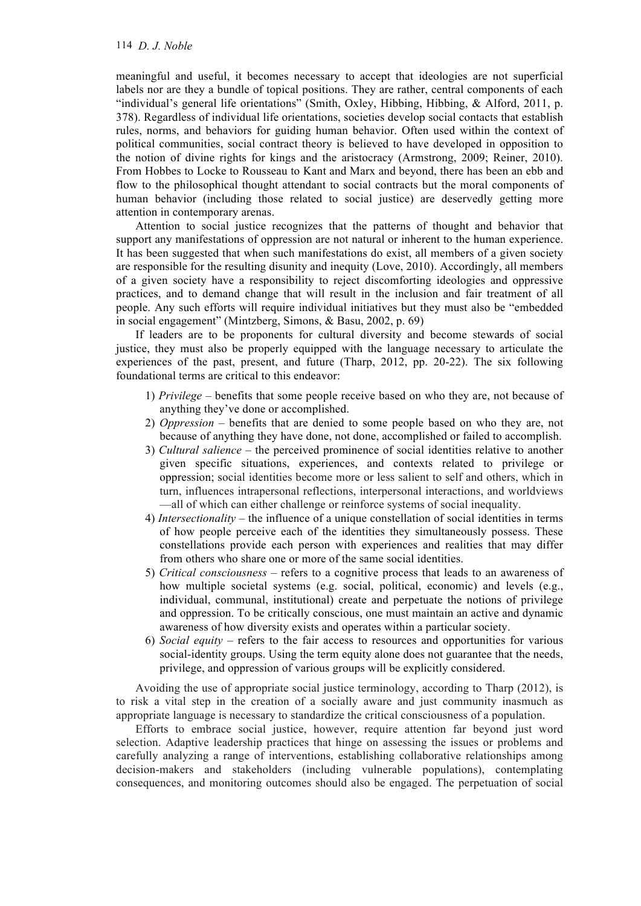# 114 *D. J. Noble*

meaningful and useful, it becomes necessary to accept that ideologies are not superficial labels nor are they a bundle of topical positions. They are rather, central components of each "individual's general life orientations" (Smith, Oxley, Hibbing, Hibbing, & Alford, 2011, p. 378). Regardless of individual life orientations, societies develop social contacts that establish rules, norms, and behaviors for guiding human behavior. Often used within the context of political communities, social contract theory is believed to have developed in opposition to the notion of divine rights for kings and the aristocracy (Armstrong, 2009; Reiner, 2010). From Hobbes to Locke to Rousseau to Kant and Marx and beyond, there has been an ebb and flow to the philosophical thought attendant to social contracts but the moral components of human behavior (including those related to social justice) are deservedly getting more attention in contemporary arenas.

Attention to social justice recognizes that the patterns of thought and behavior that support any manifestations of oppression are not natural or inherent to the human experience. It has been suggested that when such manifestations do exist, all members of a given society are responsible for the resulting disunity and inequity (Love, 2010). Accordingly, all members of a given society have a responsibility to reject discomforting ideologies and oppressive practices, and to demand change that will result in the inclusion and fair treatment of all people. Any such efforts will require individual initiatives but they must also be "embedded in social engagement" (Mintzberg, Simons, & Basu, 2002, p. 69)

If leaders are to be proponents for cultural diversity and become stewards of social justice, they must also be properly equipped with the language necessary to articulate the experiences of the past, present, and future (Tharp, 2012, pp. 20-22). The six following foundational terms are critical to this endeavor:

- 1) *Privilege –* benefits that some people receive based on who they are, not because of anything they've done or accomplished.
- 2) *Oppression –* benefits that are denied to some people based on who they are, not because of anything they have done, not done, accomplished or failed to accomplish.
- 3) *Cultural salience*  the perceived prominence of social identities relative to another given specific situations, experiences, and contexts related to privilege or oppression; social identities become more or less salient to self and others, which in turn, influences intrapersonal reflections, interpersonal interactions, and worldviews —all of which can either challenge or reinforce systems of social inequality.
- 4) *Intersectionality* the influence of a unique constellation of social identities in terms of how people perceive each of the identities they simultaneously possess. These constellations provide each person with experiences and realities that may differ from others who share one or more of the same social identities.
- 5) *Critical consciousness* refers to a cognitive process that leads to an awareness of how multiple societal systems (e.g. social, political, economic) and levels (e.g., individual, communal, institutional) create and perpetuate the notions of privilege and oppression. To be critically conscious, one must maintain an active and dynamic awareness of how diversity exists and operates within a particular society.
- 6) *Social equity*  refers to the fair access to resources and opportunities for various social-identity groups. Using the term equity alone does not guarantee that the needs, privilege, and oppression of various groups will be explicitly considered.

Avoiding the use of appropriate social justice terminology, according to Tharp (2012), is to risk a vital step in the creation of a socially aware and just community inasmuch as appropriate language is necessary to standardize the critical consciousness of a population.

Efforts to embrace social justice, however, require attention far beyond just word selection. Adaptive leadership practices that hinge on assessing the issues or problems and carefully analyzing a range of interventions, establishing collaborative relationships among decision-makers and stakeholders (including vulnerable populations), contemplating consequences, and monitoring outcomes should also be engaged. The perpetuation of social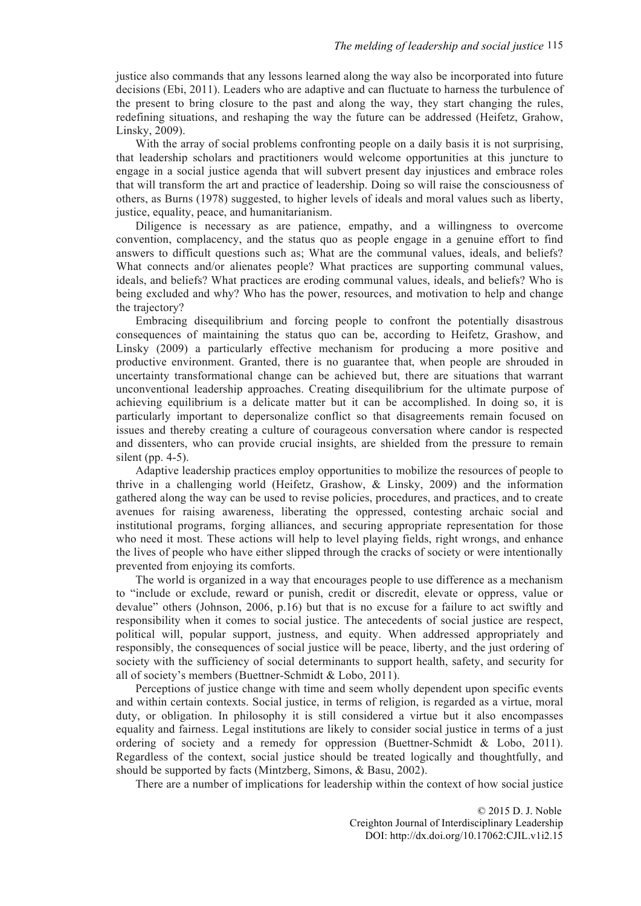justice also commands that any lessons learned along the way also be incorporated into future decisions (Ebi, 2011). Leaders who are adaptive and can fluctuate to harness the turbulence of the present to bring closure to the past and along the way, they start changing the rules, redefining situations, and reshaping the way the future can be addressed (Heifetz, Grahow, Linsky, 2009).

With the array of social problems confronting people on a daily basis it is not surprising, that leadership scholars and practitioners would welcome opportunities at this juncture to engage in a social justice agenda that will subvert present day injustices and embrace roles that will transform the art and practice of leadership. Doing so will raise the consciousness of others, as Burns (1978) suggested, to higher levels of ideals and moral values such as liberty, justice, equality, peace, and humanitarianism.

Diligence is necessary as are patience, empathy, and a willingness to overcome convention, complacency, and the status quo as people engage in a genuine effort to find answers to difficult questions such as; What are the communal values, ideals, and beliefs? What connects and/or alienates people? What practices are supporting communal values, ideals, and beliefs? What practices are eroding communal values, ideals, and beliefs? Who is being excluded and why? Who has the power, resources, and motivation to help and change the trajectory?

Embracing disequilibrium and forcing people to confront the potentially disastrous consequences of maintaining the status quo can be, according to Heifetz, Grashow, and Linsky (2009) a particularly effective mechanism for producing a more positive and productive environment. Granted, there is no guarantee that, when people are shrouded in uncertainty transformational change can be achieved but, there are situations that warrant unconventional leadership approaches. Creating disequilibrium for the ultimate purpose of achieving equilibrium is a delicate matter but it can be accomplished. In doing so, it is particularly important to depersonalize conflict so that disagreements remain focused on issues and thereby creating a culture of courageous conversation where candor is respected and dissenters, who can provide crucial insights, are shielded from the pressure to remain silent (pp.  $4-5$ ).

Adaptive leadership practices employ opportunities to mobilize the resources of people to thrive in a challenging world (Heifetz, Grashow, & Linsky, 2009) and the information gathered along the way can be used to revise policies, procedures, and practices, and to create avenues for raising awareness, liberating the oppressed, contesting archaic social and institutional programs, forging alliances, and securing appropriate representation for those who need it most. These actions will help to level playing fields, right wrongs, and enhance the lives of people who have either slipped through the cracks of society or were intentionally prevented from enjoying its comforts.

The world is organized in a way that encourages people to use difference as a mechanism to "include or exclude, reward or punish, credit or discredit, elevate or oppress, value or devalue" others (Johnson, 2006, p.16) but that is no excuse for a failure to act swiftly and responsibility when it comes to social justice. The antecedents of social justice are respect, political will, popular support, justness, and equity. When addressed appropriately and responsibly, the consequences of social justice will be peace, liberty, and the just ordering of society with the sufficiency of social determinants to support health, safety, and security for all of society's members (Buettner-Schmidt & Lobo, 2011).

Perceptions of justice change with time and seem wholly dependent upon specific events and within certain contexts. Social justice, in terms of religion, is regarded as a virtue, moral duty, or obligation. In philosophy it is still considered a virtue but it also encompasses equality and fairness. Legal institutions are likely to consider social justice in terms of a just ordering of society and a remedy for oppression (Buettner-Schmidt & Lobo, 2011). Regardless of the context, social justice should be treated logically and thoughtfully, and should be supported by facts (Mintzberg, Simons, & Basu, 2002).

There are a number of implications for leadership within the context of how social justice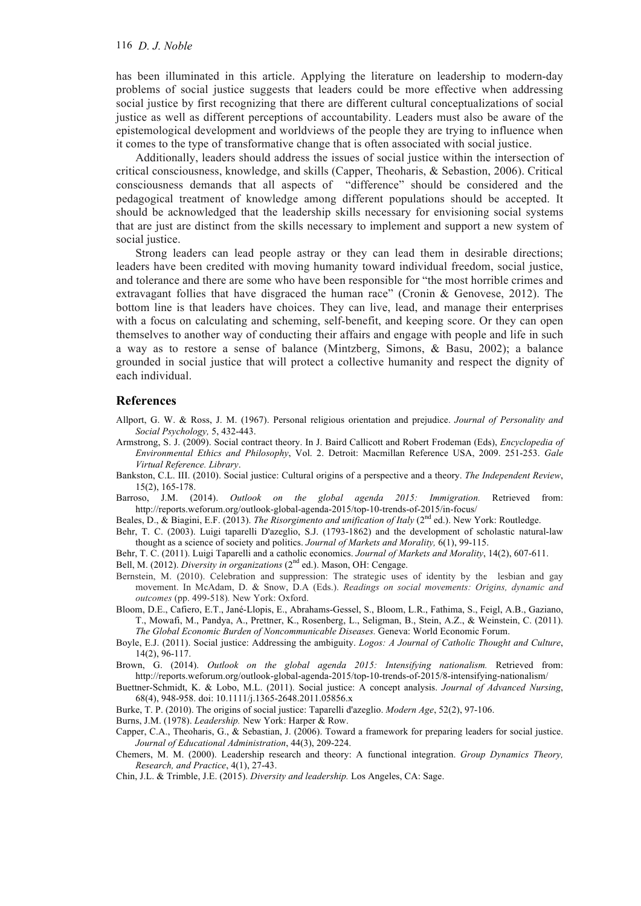has been illuminated in this article. Applying the literature on leadership to modern-day problems of social justice suggests that leaders could be more effective when addressing social justice by first recognizing that there are different cultural conceptualizations of social justice as well as different perceptions of accountability. Leaders must also be aware of the epistemological development and worldviews of the people they are trying to influence when it comes to the type of transformative change that is often associated with social justice.

Additionally, leaders should address the issues of social justice within the intersection of critical consciousness, knowledge, and skills (Capper, Theoharis, & Sebastion, 2006). Critical consciousness demands that all aspects of "difference" should be considered and the pedagogical treatment of knowledge among different populations should be accepted. It should be acknowledged that the leadership skills necessary for envisioning social systems that are just are distinct from the skills necessary to implement and support a new system of social justice.

Strong leaders can lead people astray or they can lead them in desirable directions; leaders have been credited with moving humanity toward individual freedom, social justice, and tolerance and there are some who have been responsible for "the most horrible crimes and extravagant follies that have disgraced the human race" (Cronin & Genovese, 2012). The bottom line is that leaders have choices. They can live, lead, and manage their enterprises with a focus on calculating and scheming, self-benefit, and keeping score. Or they can open themselves to another way of conducting their affairs and engage with people and life in such a way as to restore a sense of balance (Mintzberg, Simons, & Basu, 2002); a balance grounded in social justice that will protect a collective humanity and respect the dignity of each individual.

### **References**

- Allport, G. W. & Ross, J. M. (1967). Personal religious orientation and prejudice. *Journal of Personality and Social Psychology,* 5, 432-443.
- Armstrong, S. J. (2009). Social contract theory. In J. Baird Callicott and Robert Frodeman (Eds), *Encyclopedia of Environmental Ethics and Philosophy*, Vol. 2. Detroit: Macmillan Reference USA, 2009. 251-253. *Gale Virtual Reference. Library*.
- Bankston, C.L. III. (2010). Social justice: Cultural origins of a perspective and a theory. *The Independent Review*, 15(2), 165-178.
- Barroso, J.M. (2014). *Outlook on the global agenda 2015: Immigration.* Retrieved from: http://reports.weforum.org/outlook-global-agenda-2015/top-10-trends-of-2015/in-focus/
- Beales, D., & Biagini, E.F. (2013). *The Risorgimento and unification of Italy* (2nd ed.). New York: Routledge.
- Behr, T. C. (2003). Luigi taparelli D'azeglio, S.J. (1793-1862) and the development of scholastic natural-law thought as a science of society and politics. *Journal of Markets and Morality,* 6(1), 99-115.
- Behr, T. C. (2011). Luigi Taparelli and a catholic economics. *Journal of Markets and Morality*, 14(2), 607-611.

Bell, M. (2012). *Diversity in organizations* (2<sup>nd</sup> ed.). Mason, OH: Cengage.

- Bernstein, M. (2010). Celebration and suppression: The strategic uses of identity by the lesbian and gay movement. In McAdam, D. & Snow, D.A (Eds.). *Readings on social movements: Origins, dynamic and outcomes* (pp. 499-518)*.* New York: Oxford.
- Bloom, D.E., Cafiero, E.T., Jané-Llopis, E., Abrahams-Gessel, S., Bloom, L.R., Fathima, S., Feigl, A.B., Gaziano, T., Mowafi, M., Pandya, A., Prettner, K., Rosenberg, L., Seligman, B., Stein, A.Z., & Weinstein, C. (2011). *The Global Economic Burden of Noncommunicable Diseases.* Geneva: World Economic Forum.
- Boyle, E.J. (2011). Social justice: Addressing the ambiguity. *Logos: A Journal of Catholic Thought and Culture*, 14(2), 96-117.
- Brown, G. (2014). *Outlook on the global agenda 2015: Intensifying nationalism.* Retrieved from: http://reports.weforum.org/outlook-global-agenda-2015/top-10-trends-of-2015/8-intensifying-nationalism/

Buettner-Schmidt, K. & Lobo, M.L. (2011). Social justice: A concept analysis. *Journal of Advanced Nursing*, 68(4), 948-958. doi: 10.1111/j.1365-2648.2011.05856.x

Burke, T. P. (2010). The origins of social justice: Taparelli d'azeglio. *Modern Age*, 52(2), 97-106.

Burns, J.M. (1978). *Leadership.* New York: Harper & Row.

- Capper, C.A., Theoharis, G., & Sebastian, J. (2006). Toward a framework for preparing leaders for social justice. *Journal of Educational Administration*, 44(3), 209-224.
- Chemers, M. M. (2000). Leadership research and theory: A functional integration. *Group Dynamics Theory, Research, and Practice*, 4(1), 27-43.

Chin, J.L. & Trimble, J.E. (2015). *Diversity and leadership.* Los Angeles, CA: Sage.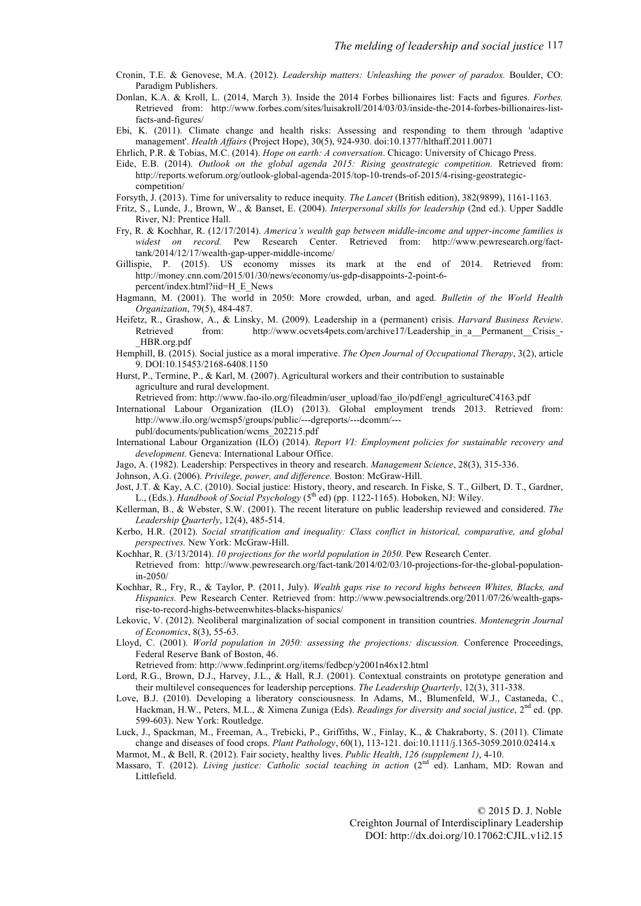- Cronin, T.E. & Genovese, M.A. (2012). *Leadership matters: Unleashing the power of paradox.* Boulder, CO: Paradigm Publishers.
- Donlan, K.A. & Kroll, L. (2014, March 3). Inside the 2014 Forbes billionaires list: Facts and figures. *Forbes.* Retrieved from: http://www.forbes.com/sites/luisakroll/2014/03/03/inside-the-2014-forbes-billionaires-listfacts-and-figures/
- Ebi, K. (2011). Climate change and health risks: Assessing and responding to them through 'adaptive management'. *Health Affairs* (Project Hope), 30(5), 924-930. doi:10.1377/hlthaff.2011.0071
- Ehrlich, P.R. & Tobias, M.C. (2014). *Hope on earth: A conversation*. Chicago: University of Chicago Press.
- Eide, E.B. (2014). *Outlook on the global agenda 2015: Rising geostrategic competition.* Retrieved from: http://reports.weforum.org/outlook-global-agenda-2015/top-10-trends-of-2015/4-rising-geostrategiccompetition/
- Forsyth, J. (2013). Time for universality to reduce inequity*. The Lancet* (British edition), 382(9899), 1161-1163.
- Fritz, S., Lunde, J., Brown, W., & Banset, E. (2004). *Interpersonal skills for leadership* (2nd ed.). Upper Saddle River, NJ: Prentice Hall.
- Fry, R. & Kochhar, R. (12/17/2014). *America's wealth gap between middle-income and upper-income families is widest on record.* Pew Research Center. Retrieved from: http://www.pewresearch.org/facttank/2014/12/17/wealth-gap-upper-middle-income/
- Gillispie, P. (2015). US economy misses its mark at the end of 2014. Retrieved from: http://money.cnn.com/2015/01/30/news/economy/us-gdp-disappoints-2-point-6 percent/index.html?iid=H\_E\_News
- Hagmann, M. (2001). The world in 2050: More crowded, urban, and aged. *Bulletin of the World Health Organization*, 79(5), 484-487.
- Heifetz, R., Grashow, A., & Linsky, M. (2009). Leadership in a (permanent) crisis. *Harvard Business Review*. Retrieved from: http://www.ocvets4pets.com/archive17/Leadership\_in\_a\_Permanent\_Crisis\_-\_HBR.org.pdf
- Hemphill, B. (2015). Social justice as a moral imperative. *The Open Journal of Occupational Therapy*, 3(2), article 9. DOI:10.15453/2168-6408.1150
- Hurst, P., Termine, P., & Karl, M. (2007). Agricultural workers and their contribution to sustainable agriculture and rural development.
- Retrieved from: http://www.fao-ilo.org/fileadmin/user\_upload/fao\_ilo/pdf/engl\_agricultureC4163.pdf
- International Labour Organization (ILO) (2013). Global employment trends 2013. Retrieved from: http://www.ilo.org/wcmsp5/groups/public/---dgreports/---dcomm/-- publ/documents/publication/wcms\_202215.pdf
- International Labour Organization (ILO) (2014). *Report VI: Employment policies for sustainable recovery and development.* Geneva: International Labour Office.
- Jago, A. (1982). Leadership: Perspectives in theory and research. *Management Science*, 28(3), 315-336.
- Johnson, A.G. (2006). *Privilege, power, and difference.* Boston: McGraw-Hill.
- Jost, J.T. & Kay, A.C. (2010). Social justice: History, theory, and research. In Fiske, S. T., Gilbert, D. T., Gardner, L., (Eds.). *Handbook of Social Psychology* (5th ed) (pp. 1122-1165). Hoboken, NJ: Wiley.
- Kellerman, B., & Webster, S.W. (2001). The recent literature on public leadership reviewed and considered. *The Leadership Quarterly*, 12(4), 485-514.
- Kerbo, H.R. (2012). *Social stratification and inequality: Class conflict in historical, comparative, and global perspectives.* New York: McGraw-Hill.
- Kochhar, R. (3/13/2014). *10 projections for the world population in 2050.* Pew Research Center.
- Retrieved from: http://www.pewresearch.org/fact-tank/2014/02/03/10-projections-for-the-global-populationin-2050/
- Kochhar, R., Fry, R., & Taylor, P. (2011, July). *Wealth gaps rise to record highs between Whites, Blacks, and Hispanics.* Pew Research Center. Retrieved from: http://www.pewsocialtrends.org/2011/07/26/wealth-gapsrise-to-record-highs-betweenwhites-blacks-hispanics/
- Lekovic, V. (2012). Neoliberal marginalization of social component in transition countries. *Montenegrin Journal of Economics*, 8(3), 55-63.
- Lloyd, C. (2001). *World population in 2050: assessing the projections: discussion.* Conference Proceedings, Federal Reserve Bank of Boston, 46.

Retrieved from: http://www.fedinprint.org/items/fedbcp/y2001n46x12.html

- Lord, R.G., Brown, D.J., Harvey, J.L., & Hall, R.J. (2001). Contextual constraints on prototype generation and their multilevel consequences for leadership perceptions. *The Leadership Quarterly*, 12(3), 311-338.
- Love, B.J. (2010). Developing a liberatory consciousness. In Adams, M., Blumenfeld, W.J., Castaneda, C., Hackman, H.W., Peters, M.L., & Ximena Zuniga (Eds). *Readings for diversity and social justice*, 2nd ed. (pp. 599-603). New York: Routledge.
- Luck, J., Spackman, M., Freeman, A., Trebicki, P., Griffiths, W., Finlay, K., & Chakraborty, S. (2011). Climate change and diseases of food crops. *Plant Pathology*, 60(1), 113-121. doi:10.1111/j.1365-3059.2010.02414.x
- Marmot, M., & Bell, R. (2012). Fair society, healthy lives. *Public Health*, *126 (supplement 1)*, 4-10.
- Massaro, T. (2012). *Living justice: Catholic social teaching in action* (2<sup>nd ed</sup>). Lanham, MD: Rowan and Littlefield.

© 2015 D. J. Noble Creighton Journal of Interdisciplinary Leadership DOI: http://dx.doi.org/10.17062:CJIL.v1i2.15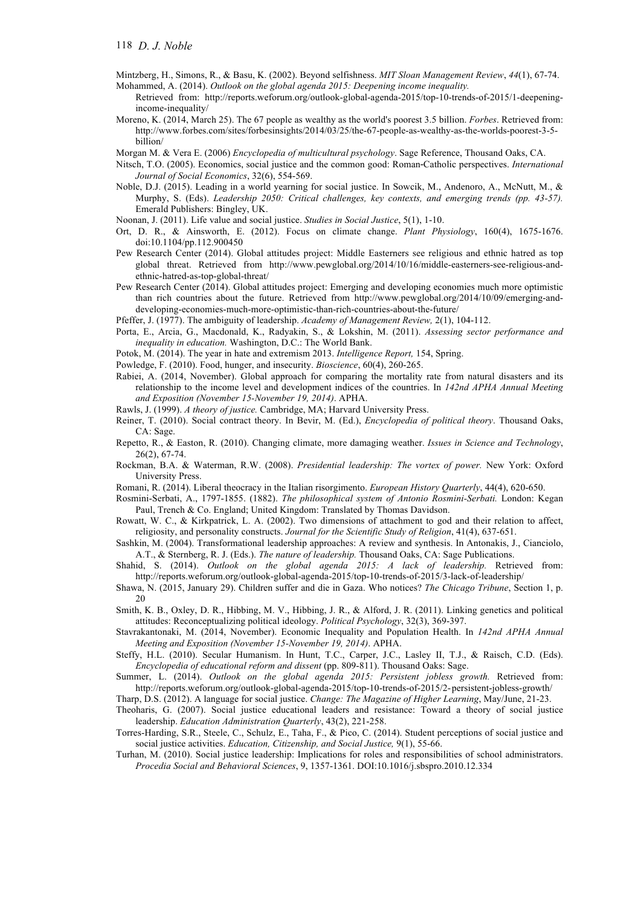Mintzberg, H., Simons, R., & Basu, K. (2002). Beyond selfishness. *MIT Sloan Management Review*, *44*(1), 67-74. Mohammed, A. (2014). *Outlook on the global agenda 2015: Deepening income inequality.*

Retrieved from: http://reports.weforum.org/outlook-global-agenda-2015/top-10-trends-of-2015/1-deepeningincome-inequality/

Moreno, K. (2014, March 25). The 67 people as wealthy as the world's poorest 3.5 billion. *Forbes*. Retrieved from: http://www.forbes.com/sites/forbesinsights/2014/03/25/the-67-people-as-wealthy-as-the-worlds-poorest-3-5 billion/

Morgan M. & Vera E. (2006) *Encyclopedia of multicultural psychology*. Sage Reference, Thousand Oaks, CA.

- Nitsch, T.O. (2005). Economics, social justice and the common good: Roman**‐**Catholic perspectives. *International Journal of Social Economics*, 32(6), 554-569.
- Noble, D.J. (2015). Leading in a world yearning for social justice. In Sowcik, M., Andenoro, A., McNutt, M., & Murphy, S. (Eds). *Leadership 2050: Critical challenges, key contexts, and emerging trends (pp. 43-57).* Emerald Publishers: Bingley, UK.
- Noonan, J. (2011). Life value and social justice. *Studies in Social Justice*, 5(1), 1-10.
- Ort, D. R., & Ainsworth, E. (2012). Focus on climate change. *Plant Physiology*, 160(4), 1675-1676. doi:10.1104/pp.112.900450
- Pew Research Center (2014). Global attitudes project: Middle Easterners see religious and ethnic hatred as top global threat. Retrieved from http://www.pewglobal.org/2014/10/16/middle-easterners-see-religious-andethnic-hatred-as-top-global-threat/
- Pew Research Center (2014). Global attitudes project: Emerging and developing economies much more optimistic than rich countries about the future. Retrieved from http://www.pewglobal.org/2014/10/09/emerging-anddeveloping-economies-much-more-optimistic-than-rich-countries-about-the-future/

Pfeffer, J. (1977). The ambiguity of leadership. *Academy of Management Review,* 2(1), 104-112.

- Porta, E., Arcia, G., Macdonald, K., Radyakin, S., & Lokshin, M. (2011). *Assessing sector performance and inequality in education.* Washington, D.C.: The World Bank.
- Potok, M. (2014). The year in hate and extremism 2013. *Intelligence Report,* 154, Spring.
- Powledge, F. (2010). Food, hunger, and insecurity. *Bioscience*, 60(4), 260-265.
- Rabiei, A. (2014, November). Global approach for comparing the mortality rate from natural disasters and its relationship to the income level and development indices of the countries. In *142nd APHA Annual Meeting and Exposition (November 15-November 19, 2014)*. APHA.

Rawls, J. (1999). *A theory of justice.* Cambridge, MA; Harvard University Press.

- Reiner, T. (2010). Social contract theory. In Bevir, M. (Ed.), *Encyclopedia of political theory*. Thousand Oaks, CA: Sage.
- Repetto, R., & Easton, R. (2010). Changing climate, more damaging weather. *Issues in Science and Technology*, 26(2), 67-74.
- Rockman, B.A. & Waterman, R.W. (2008). *Presidential leadership: The vortex of power.* New York: Oxford University Press.

Romani, R. (2014). Liberal theocracy in the Italian risorgimento. *European History Quarterly*, 44(4), 620-650.

- Rosmini-Serbati, A., 1797-1855. (1882). *The philosophical system of Antonio Rosmini-Serbati.* London: Kegan Paul, Trench & Co. England; United Kingdom: Translated by Thomas Davidson.
- Rowatt, W. C., & Kirkpatrick, L. A. (2002). Two dimensions of attachment to god and their relation to affect, religiosity, and personality constructs. *Journal for the Scientific Study of Religion*, 41(4), 637-651.
- Sashkin, M. (2004). Transformational leadership approaches: A review and synthesis. In Antonakis, J., Cianciolo, A.T., & Sternberg, R. J. (Eds.). *The nature of leadership.* Thousand Oaks, CA: Sage Publications.
- Shahid, S. (2014). *Outlook on the global agenda 2015: A lack of leadership.* Retrieved from: http://reports.weforum.org/outlook-global-agenda-2015/top-10-trends-of-2015/3-lack-of-leadership/
- Shawa, N. (2015, January 29). Children suffer and die in Gaza. Who notices? *The Chicago Tribune*, Section 1, p. 20
- Smith, K. B., Oxley, D. R., Hibbing, M. V., Hibbing, J. R., & Alford, J. R. (2011). Linking genetics and political attitudes: Reconceptualizing political ideology. *Political Psychology*, 32(3), 369-397.
- Stavrakantonaki, M. (2014, November). Economic Inequality and Population Health. In *142nd APHA Annual Meeting and Exposition (November 15-November 19, 2014)*. APHA.
- Steffy, H.L. (2010). Secular Humanism. In Hunt, T.C., Carper, J.C., Lasley II, T.J., & Raisch, C.D. (Eds). *Encyclopedia of educational reform and dissent* (pp. 809-811). Thousand Oaks: Sage.
- Summer, L. (2014). *Outlook on the global agenda 2015: Persistent jobless growth.* Retrieved from: http://reports.weforum.org/outlook-global-agenda-2015/top-10-trends-of-2015/2-persistent-jobless-growth/

Tharp, D.S. (2012). A language for social justice. *Change: The Magazine of Higher Learning*, May/June, 21-23.

- Theoharis, G. (2007). Social justice educational leaders and resistance: Toward a theory of social justice leadership. *Education Administration Quarterly*, 43(2), 221-258.
- Torres-Harding, S.R., Steele, C., Schulz, E., Taha, F., & Pico, C. (2014). Student perceptions of social justice and social justice activities. *Education, Citizenship, and Social Justice,* 9(1), 55-66.
- Turhan, M. (2010). Social justice leadership: Implications for roles and responsibilities of school administrators. *Procedia Social and Behavioral Sciences*, 9, 1357-1361. DOI:10.1016/j.sbspro.2010.12.334